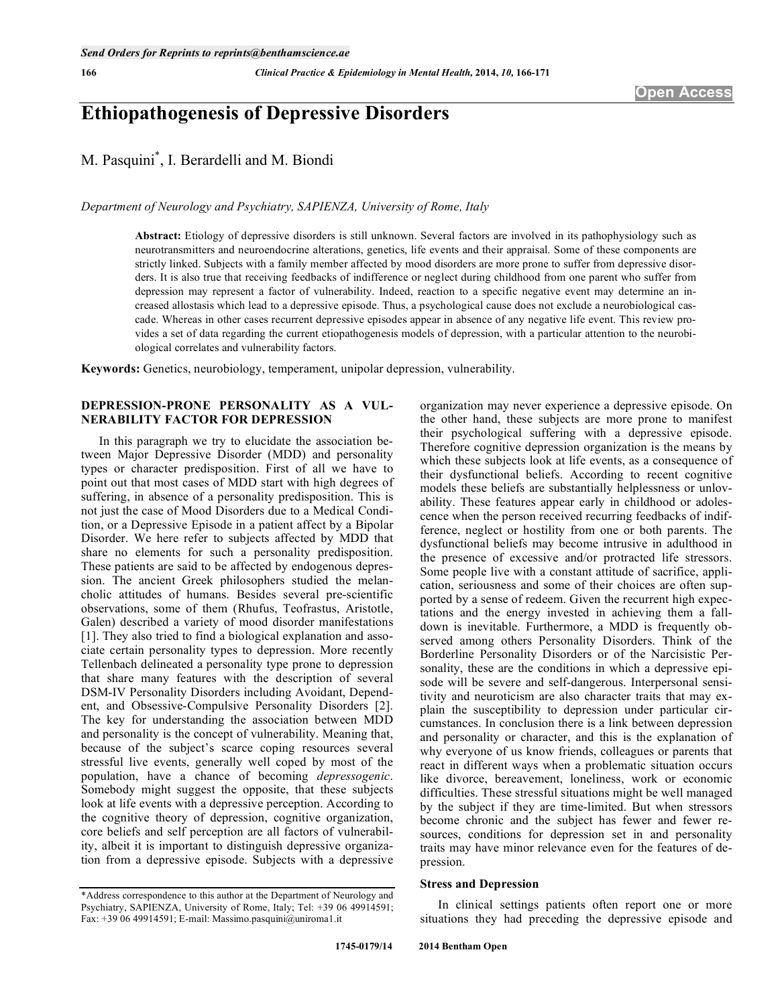# **Ethiopathogenesis of Depressive Disorders**

M. Pasquini\* , I. Berardelli and M. Biondi

*Department of Neurology and Psychiatry, SAPIENZA, University of Rome, Italy* 

**Abstract:** Etiology of depressive disorders is still unknown. Several factors are involved in its pathophysiology such as neurotransmitters and neuroendocrine alterations, genetics, life events and their appraisal. Some of these components are strictly linked. Subjects with a family member affected by mood disorders are more prone to suffer from depressive disorders. It is also true that receiving feedbacks of indifference or neglect during childhood from one parent who suffer from depression may represent a factor of vulnerability. Indeed, reaction to a specific negative event may determine an increased allostasis which lead to a depressive episode. Thus, a psychological cause does not exclude a neurobiological cascade. Whereas in other cases recurrent depressive episodes appear in absence of any negative life event. This review provides a set of data regarding the current etiopathogenesis models of depression, with a particular attention to the neurobiological correlates and vulnerability factors.

**Keywords:** Genetics, neurobiology, temperament, unipolar depression, vulnerability.

# **DEPRESSION-PRONE PERSONALITY AS A VUL-NERABILITY FACTOR FOR DEPRESSION**

In this paragraph we try to elucidate the association between Major Depressive Disorder (MDD) and personality types or character predisposition. First of all we have to point out that most cases of MDD start with high degrees of suffering, in absence of a personality predisposition. This is not just the case of Mood Disorders due to a Medical Condition, or a Depressive Episode in a patient affect by a Bipolar Disorder. We here refer to subjects affected by MDD that share no elements for such a personality predisposition. These patients are said to be affected by endogenous depression. The ancient Greek philosophers studied the melancholic attitudes of humans. Besides several pre-scientific observations, some of them (Rhufus, Teofrastus, Aristotle, Galen) described a variety of mood disorder manifestations [1]. They also tried to find a biological explanation and associate certain personality types to depression. More recently Tellenbach delineated a personality type prone to depression that share many features with the description of several DSM-IV Personality Disorders including Avoidant, Dependent, and Obsessive-Compulsive Personality Disorders [2]. The key for understanding the association between MDD and personality is the concept of vulnerability. Meaning that, because of the subject's scarce coping resources several stressful live events, generally well coped by most of the population, have a chance of becoming *depressogenic*. Somebody might suggest the opposite, that these subjects look at life events with a depressive perception. According to the cognitive theory of depression, cognitive organization, core beliefs and self perception are all factors of vulnerability, albeit it is important to distinguish depressive organization from a depressive episode. Subjects with a depressive

organization may never experience a depressive episode. On the other hand, these subjects are more prone to manifest their psychological suffering with a depressive episode. Therefore cognitive depression organization is the means by which these subjects look at life events, as a consequence of their dysfunctional beliefs. According to recent cognitive models these beliefs are substantially helplessness or unlovability. These features appear early in childhood or adolescence when the person received recurring feedbacks of indifference, neglect or hostility from one or both parents. The dysfunctional beliefs may become intrusive in adulthood in the presence of excessive and/or protracted life stressors. Some people live with a constant attitude of sacrifice, application, seriousness and some of their choices are often supported by a sense of redeem. Given the recurrent high expectations and the energy invested in achieving them a falldown is inevitable. Furthermore, a MDD is frequently observed among others Personality Disorders. Think of the Borderline Personality Disorders or of the Narcisistic Personality, these are the conditions in which a depressive episode will be severe and self-dangerous. Interpersonal sensitivity and neuroticism are also character traits that may explain the susceptibility to depression under particular circumstances. In conclusion there is a link between depression and personality or character, and this is the explanation of why everyone of us know friends, colleagues or parents that react in different ways when a problematic situation occurs like divorce, bereavement, loneliness, work or economic difficulties. These stressful situations might be well managed by the subject if they are time-limited. But when stressors become chronic and the subject has fewer and fewer resources, conditions for depression set in and personality traits may have minor relevance even for the features of depression.

# **Stress and Depression**

In clinical settings patients often report one or more situations they had preceding the depressive episode and

<sup>\*</sup>Address correspondence to this author at the Department of Neurology and Psychiatry, SAPIENZA, University of Rome, Italy; Tel: +39 06 49914591; Fax: +39 06 49914591; E-mail: Massimo.pasquini@uniroma1.it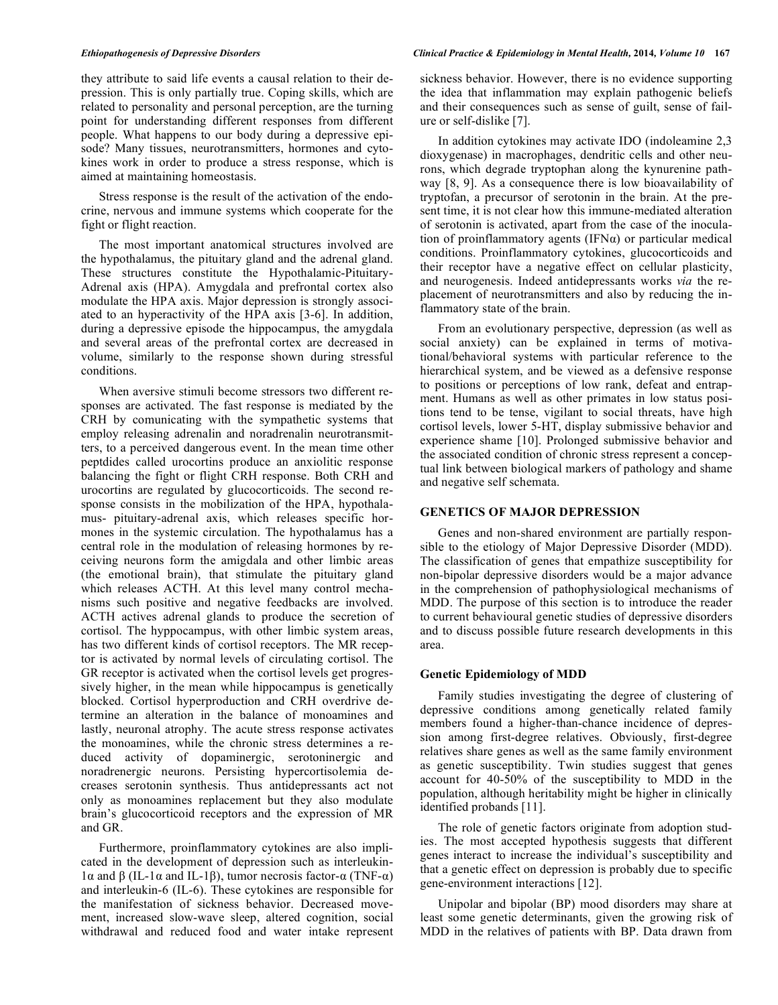they attribute to said life events a causal relation to their depression. This is only partially true. Coping skills, which are related to personality and personal perception, are the turning point for understanding different responses from different people. What happens to our body during a depressive episode? Many tissues, neurotransmitters, hormones and cytokines work in order to produce a stress response, which is aimed at maintaining homeostasis.

Stress response is the result of the activation of the endocrine, nervous and immune systems which cooperate for the fight or flight reaction.

The most important anatomical structures involved are the hypothalamus, the pituitary gland and the adrenal gland. These structures constitute the Hypothalamic-Pituitary-Adrenal axis (HPA). Amygdala and prefrontal cortex also modulate the HPA axis. Major depression is strongly associated to an hyperactivity of the HPA axis [3-6]. In addition, during a depressive episode the hippocampus, the amygdala and several areas of the prefrontal cortex are decreased in volume, similarly to the response shown during stressful conditions.

When aversive stimuli become stressors two different responses are activated. The fast response is mediated by the CRH by comunicating with the sympathetic systems that employ releasing adrenalin and noradrenalin neurotransmitters, to a perceived dangerous event. In the mean time other peptdides called urocortins produce an anxiolitic response balancing the fight or flight CRH response. Both CRH and urocortins are regulated by glucocorticoids. The second response consists in the mobilization of the HPA, hypothalamus- pituitary-adrenal axis, which releases specific hormones in the systemic circulation. The hypothalamus has a central role in the modulation of releasing hormones by receiving neurons form the amigdala and other limbic areas (the emotional brain), that stimulate the pituitary gland which releases ACTH. At this level many control mechanisms such positive and negative feedbacks are involved. ACTH actives adrenal glands to produce the secretion of cortisol. The hyppocampus, with other limbic system areas, has two different kinds of cortisol receptors. The MR receptor is activated by normal levels of circulating cortisol. The GR receptor is activated when the cortisol levels get progressively higher, in the mean while hippocampus is genetically blocked. Cortisol hyperproduction and CRH overdrive determine an alteration in the balance of monoamines and lastly, neuronal atrophy. The acute stress response activates the monoamines, while the chronic stress determines a reduced activity of dopaminergic, serotoninergic and noradrenergic neurons. Persisting hypercortisolemia decreases serotonin synthesis. Thus antidepressants act not only as monoamines replacement but they also modulate brain's glucocorticoid receptors and the expression of MR and GR.

Furthermore, proinflammatory cytokines are also implicated in the development of depression such as interleukinl  $\alpha$  and  $\beta$  (IL-1 $\alpha$  and IL-1 $\beta$ ), tumor necrosis factor- $\alpha$  (TNF- $\alpha$ ) and interleukin-6 (IL-6). These cytokines are responsible for the manifestation of sickness behavior. Decreased movement, increased slow-wave sleep, altered cognition, social withdrawal and reduced food and water intake represent

### *Ethiopathogenesis of Depressive Disorders Clinical Practice & Epidemiology in Mental Health,* **2014***, Volume 10* **167**

sickness behavior. However, there is no evidence supporting the idea that inflammation may explain pathogenic beliefs and their consequences such as sense of guilt, sense of failure or self-dislike [7].

In addition cytokines may activate IDO (indoleamine 2,3 dioxygenase) in macrophages, dendritic cells and other neurons, which degrade tryptophan along the kynurenine pathway [8, 9]. As a consequence there is low bioavailability of tryptofan, a precursor of serotonin in the brain. At the present time, it is not clear how this immune-mediated alteration of serotonin is activated, apart from the case of the inoculation of proinflammatory agents (IFN $\alpha$ ) or particular medical conditions. Proinflammatory cytokines, glucocorticoids and their receptor have a negative effect on cellular plasticity, and neurogenesis. Indeed antidepressants works *via* the replacement of neurotransmitters and also by reducing the inflammatory state of the brain.

From an evolutionary perspective, depression (as well as social anxiety) can be explained in terms of motivational/behavioral systems with particular reference to the hierarchical system, and be viewed as a defensive response to positions or perceptions of low rank, defeat and entrapment. Humans as well as other primates in low status positions tend to be tense, vigilant to social threats, have high cortisol levels, lower 5-HT, display submissive behavior and experience shame [10]. Prolonged submissive behavior and the associated condition of chronic stress represent a conceptual link between biological markers of pathology and shame and negative self schemata.

### **GENETICS OF MAJOR DEPRESSION**

Genes and non-shared environment are partially responsible to the etiology of Major Depressive Disorder (MDD). The classification of genes that empathize susceptibility for non-bipolar depressive disorders would be a major advance in the comprehension of pathophysiological mechanisms of MDD. The purpose of this section is to introduce the reader to current behavioural genetic studies of depressive disorders and to discuss possible future research developments in this area.

# **Genetic Epidemiology of MDD**

Family studies investigating the degree of clustering of depressive conditions among genetically related family members found a higher-than-chance incidence of depression among first-degree relatives. Obviously, first-degree relatives share genes as well as the same family environment as genetic susceptibility. Twin studies suggest that genes account for 40-50% of the susceptibility to MDD in the population, although heritability might be higher in clinically identified probands [11].

The role of genetic factors originate from adoption studies. The most accepted hypothesis suggests that different genes interact to increase the individual's susceptibility and that a genetic effect on depression is probably due to specific gene-environment interactions [12].

Unipolar and bipolar (BP) mood disorders may share at least some genetic determinants, given the growing risk of MDD in the relatives of patients with BP. Data drawn from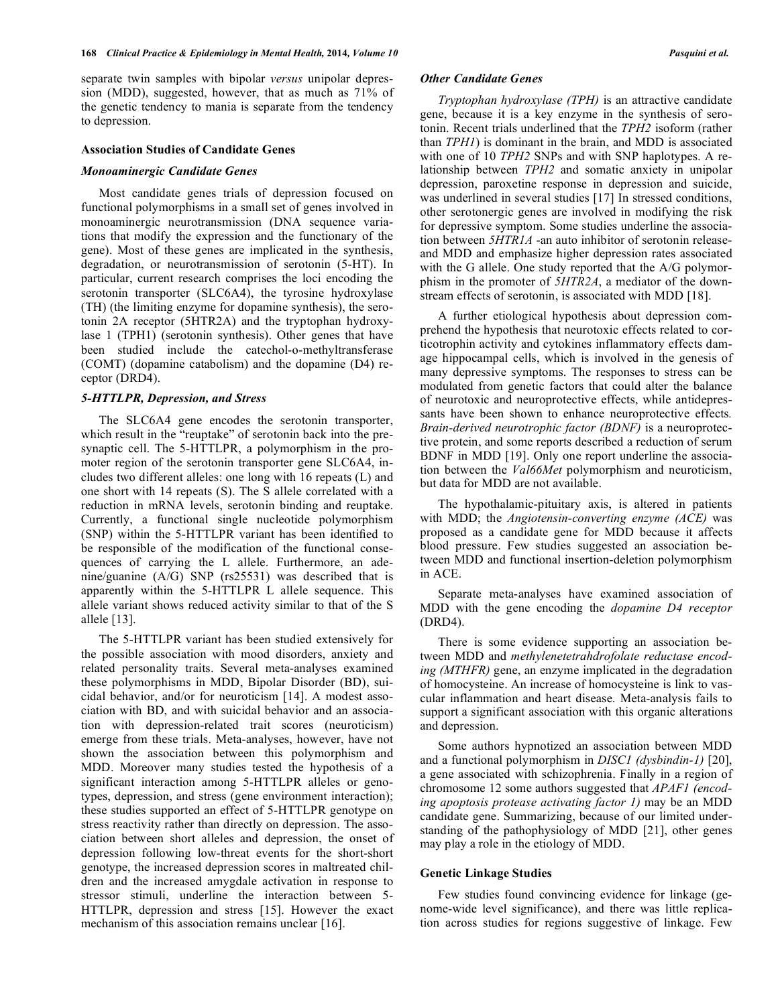separate twin samples with bipolar *versus* unipolar depression (MDD), suggested, however, that as much as 71% of the genetic tendency to mania is separate from the tendency to depression.

### **Association Studies of Candidate Genes**

### *Monoaminergic Candidate Genes*

Most candidate genes trials of depression focused on functional polymorphisms in a small set of genes involved in monoaminergic neurotransmission (DNA sequence variations that modify the expression and the functionary of the gene). Most of these genes are implicated in the synthesis, degradation, or neurotransmission of serotonin (5-HT). In particular, current research comprises the loci encoding the serotonin transporter (SLC6A4), the tyrosine hydroxylase (TH) (the limiting enzyme for dopamine synthesis), the serotonin 2A receptor (5HTR2A) and the tryptophan hydroxylase 1 (TPH1) (serotonin synthesis). Other genes that have been studied include the catechol-o-methyltransferase (COMT) (dopamine catabolism) and the dopamine (D4) receptor (DRD4).

# *5-HTTLPR, Depression, and Stress*

The SLC6A4 gene encodes the serotonin transporter, which result in the "reuptake" of serotonin back into the presynaptic cell. The 5-HTTLPR, a polymorphism in the promoter region of the serotonin transporter gene SLC6A4, includes two different alleles: one long with 16 repeats (L) and one short with 14 repeats (S). The S allele correlated with a reduction in mRNA levels, serotonin binding and reuptake. Currently, a functional single nucleotide polymorphism (SNP) within the 5-HTTLPR variant has been identified to be responsible of the modification of the functional consequences of carrying the L allele. Furthermore, an adenine/guanine (A/G) SNP (rs25531) was described that is apparently within the 5-HTTLPR L allele sequence. This allele variant shows reduced activity similar to that of the S allele [13].

The 5-HTTLPR variant has been studied extensively for the possible association with mood disorders, anxiety and related personality traits. Several meta-analyses examined these polymorphisms in MDD, Bipolar Disorder (BD), suicidal behavior, and/or for neuroticism [14]. A modest association with BD, and with suicidal behavior and an association with depression-related trait scores (neuroticism) emerge from these trials. Meta-analyses, however, have not shown the association between this polymorphism and MDD. Moreover many studies tested the hypothesis of a significant interaction among 5-HTTLPR alleles or genotypes, depression, and stress (gene environment interaction); these studies supported an effect of 5-HTTLPR genotype on stress reactivity rather than directly on depression. The association between short alleles and depression, the onset of depression following low-threat events for the short-short genotype, the increased depression scores in maltreated children and the increased amygdale activation in response to stressor stimuli, underline the interaction between 5- HTTLPR, depression and stress [15]. However the exact mechanism of this association remains unclear [16].

### *Other Candidate Genes*

*Tryptophan hydroxylase (TPH)* is an attractive candidate gene, because it is a key enzyme in the synthesis of serotonin. Recent trials underlined that the *TPH2* isoform (rather than *TPH1*) is dominant in the brain, and MDD is associated with one of 10 *TPH2* SNPs and with SNP haplotypes. A relationship between *TPH2* and somatic anxiety in unipolar depression, paroxetine response in depression and suicide, was underlined in several studies [17] In stressed conditions, other serotonergic genes are involved in modifying the risk for depressive symptom. Some studies underline the association between *5HTR1A* -an auto inhibitor of serotonin releaseand MDD and emphasize higher depression rates associated with the G allele. One study reported that the A/G polymorphism in the promoter of *5HTR2A*, a mediator of the downstream effects of serotonin, is associated with MDD [18].

A further etiological hypothesis about depression comprehend the hypothesis that neurotoxic effects related to corticotrophin activity and cytokines inflammatory effects damage hippocampal cells, which is involved in the genesis of many depressive symptoms. The responses to stress can be modulated from genetic factors that could alter the balance of neurotoxic and neuroprotective effects, while antidepressants have been shown to enhance neuroprotective effects*. Brain-derived neurotrophic factor (BDNF)* is a neuroprotective protein, and some reports described a reduction of serum BDNF in MDD [19]. Only one report underline the association between the *Val66Met* polymorphism and neuroticism, but data for MDD are not available.

The hypothalamic-pituitary axis, is altered in patients with MDD; the *Angiotensin-converting enzyme (ACE)* was proposed as a candidate gene for MDD because it affects blood pressure. Few studies suggested an association between MDD and functional insertion-deletion polymorphism in ACE.

Separate meta-analyses have examined association of MDD with the gene encoding the *dopamine D4 receptor* (DRD4).

There is some evidence supporting an association between MDD and *methylenetetrahdrofolate reductase encoding (MTHFR)* gene, an enzyme implicated in the degradation of homocysteine. An increase of homocysteine is link to vascular inflammation and heart disease. Meta-analysis fails to support a significant association with this organic alterations and depression.

Some authors hypnotized an association between MDD and a functional polymorphism in *DISC1 (dysbindin-1)* [20], a gene associated with schizophrenia. Finally in a region of chromosome 12 some authors suggested that *APAF1 (encoding apoptosis protease activating factor 1)* may be an MDD candidate gene. Summarizing, because of our limited understanding of the pathophysiology of MDD [21], other genes may play a role in the etiology of MDD.

### **Genetic Linkage Studies**

Few studies found convincing evidence for linkage (genome-wide level significance), and there was little replication across studies for regions suggestive of linkage. Few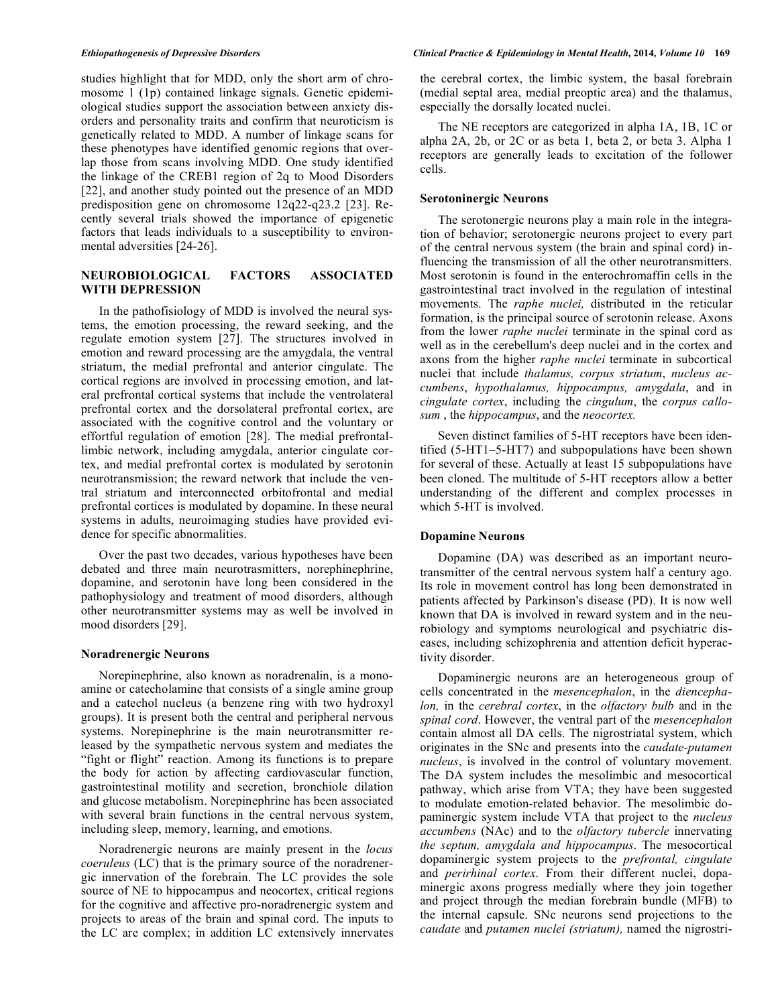studies highlight that for MDD, only the short arm of chromosome 1 (1p) contained linkage signals. Genetic epidemiological studies support the association between anxiety disorders and personality traits and confirm that neuroticism is genetically related to MDD. A number of linkage scans for these phenotypes have identified genomic regions that overlap those from scans involving MDD. One study identified the linkage of the CREB1 region of 2q to Mood Disorders [22], and another study pointed out the presence of an MDD predisposition gene on chromosome 12q22-q23.2 [23]. Recently several trials showed the importance of epigenetic factors that leads individuals to a susceptibility to environmental adversities [24-26].

# **NEUROBIOLOGICAL FACTORS ASSOCIATED WITH DEPRESSION**

In the pathofisiology of MDD is involved the neural systems, the emotion processing, the reward seeking, and the regulate emotion system [27]. The structures involved in emotion and reward processing are the amygdala, the ventral striatum, the medial prefrontal and anterior cingulate. The cortical regions are involved in processing emotion, and lateral prefrontal cortical systems that include the ventrolateral prefrontal cortex and the dorsolateral prefrontal cortex, are associated with the cognitive control and the voluntary or effortful regulation of emotion [28]. The medial prefrontallimbic network, including amygdala, anterior cingulate cortex, and medial prefrontal cortex is modulated by serotonin neurotransmission; the reward network that include the ventral striatum and interconnected orbitofrontal and medial prefrontal cortices is modulated by dopamine. In these neural systems in adults, neuroimaging studies have provided evidence for specific abnormalities.

Over the past two decades, various hypotheses have been debated and three main neurotrasmitters, norephinephrine, dopamine, and serotonin have long been considered in the pathophysiology and treatment of mood disorders, although other neurotransmitter systems may as well be involved in mood disorders [29].

## **Noradrenergic Neurons**

Norepinephrine, also known as noradrenalin, is a monoamine or catecholamine that consists of a single amine group and a catechol nucleus (a benzene ring with two hydroxyl groups). It is present both the central and peripheral nervous systems. Norepinephrine is the main neurotransmitter released by the sympathetic nervous system and mediates the "fight or flight" reaction. Among its functions is to prepare the body for action by affecting cardiovascular function, gastrointestinal motility and secretion, bronchiole dilation and glucose metabolism. Norepinephrine has been associated with several brain functions in the central nervous system, including sleep, memory, learning, and emotions.

Noradrenergic neurons are mainly present in the *locus coeruleus* (LC) that is the primary source of the noradrenergic innervation of the forebrain. The LC provides the sole source of NE to hippocampus and neocortex, critical regions for the cognitive and affective pro-noradrenergic system and projects to areas of the brain and spinal cord. The inputs to the LC are complex; in addition LC extensively innervates

the cerebral cortex, the limbic system, the basal forebrain (medial septal area, medial preoptic area) and the thalamus, especially the dorsally located nuclei.

The NE receptors are categorized in alpha 1A, 1B, 1C or alpha 2A, 2b, or 2C or as beta 1, beta 2, or beta 3. Alpha 1 receptors are generally leads to excitation of the follower cells.

# **Serotoninergic Neurons**

The serotonergic neurons play a main role in the integration of behavior; serotonergic neurons project to every part of the central nervous system (the brain and spinal cord) influencing the transmission of all the other neurotransmitters. Most serotonin is found in the enterochromaffin cells in the gastrointestinal tract involved in the regulation of intestinal movements. The *raphe nuclei,* distributed in the reticular formation, is the principal source of serotonin release. Axons from the lower *raphe nuclei* terminate in the spinal cord as well as in the cerebellum's deep nuclei and in the cortex and axons from the higher *raphe nuclei* terminate in subcortical nuclei that include *thalamus, corpus striatum*, *nucleus accumbens*, *hypothalamus, hippocampus, amygdala*, and in *cingulate cortex*, including the *cingulum*, the *corpus callosum* , the *hippocampus*, and the *neocortex.*

Seven distinct families of 5-HT receptors have been identified (5-HT1–5-HT7) and subpopulations have been shown for several of these. Actually at least 15 subpopulations have been cloned. The multitude of 5-HT receptors allow a better understanding of the different and complex processes in which 5-HT is involved.

# **Dopamine Neurons**

Dopamine (DA) was described as an important neurotransmitter of the central nervous system half a century ago. Its role in movement control has long been demonstrated in patients affected by Parkinson's disease (PD). It is now well known that DA is involved in reward system and in the neurobiology and symptoms neurological and psychiatric diseases, including schizophrenia and attention deficit hyperactivity disorder.

Dopaminergic neurons are an heterogeneous group of cells concentrated in the *mesencephalon*, in the *diencephalon,* in the *cerebral cortex*, in the *olfactory bulb* and in the *spinal cord*. However, the ventral part of the *mesencephalon* contain almost all DA cells. The nigrostriatal system, which originates in the SNc and presents into the *caudate-putamen nucleus*, is involved in the control of voluntary movement. The DA system includes the mesolimbic and mesocortical pathway, which arise from VTA; they have been suggested to modulate emotion-related behavior. The mesolimbic dopaminergic system include VTA that project to the *nucleus accumbens* (NAc) and to the *olfactory tubercle* innervating *the septum, amygdala and hippocampus*. The mesocortical dopaminergic system projects to the *prefrontal, cingulate*  and *perirhinal cortex*. From their different nuclei, dopaminergic axons progress medially where they join together and project through the median forebrain bundle (MFB) to the internal capsule. SNc neurons send projections to the *caudate* and *putamen nuclei (striatum),* named the nigrostri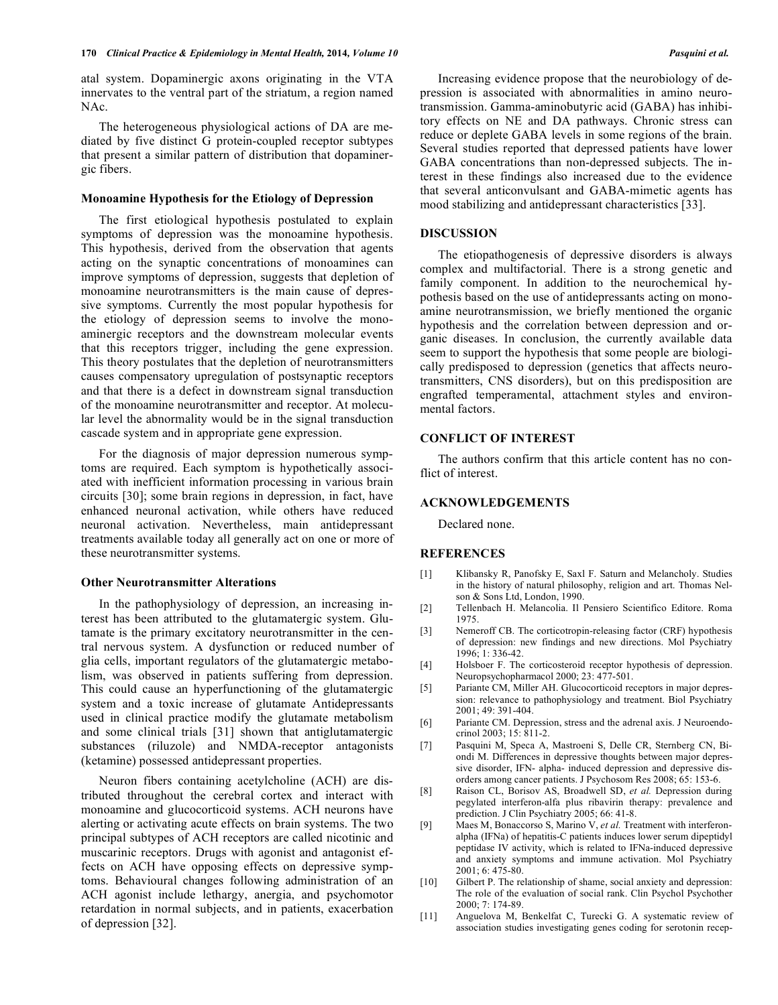atal system. Dopaminergic axons originating in the VTA innervates to the ventral part of the striatum, a region named NAc.

The heterogeneous physiological actions of DA are mediated by five distinct G protein-coupled receptor subtypes that present a similar pattern of distribution that dopaminergic fibers.

# **Monoamine Hypothesis for the Etiology of Depression**

The first etiological hypothesis postulated to explain symptoms of depression was the monoamine hypothesis. This hypothesis, derived from the observation that agents acting on the synaptic concentrations of monoamines can improve symptoms of depression, suggests that depletion of monoamine neurotransmitters is the main cause of depressive symptoms. Currently the most popular hypothesis for the etiology of depression seems to involve the monoaminergic receptors and the downstream molecular events that this receptors trigger, including the gene expression. This theory postulates that the depletion of neurotransmitters causes compensatory upregulation of postsynaptic receptors and that there is a defect in downstream signal transduction of the monoamine neurotransmitter and receptor. At molecular level the abnormality would be in the signal transduction cascade system and in appropriate gene expression.

For the diagnosis of major depression numerous symptoms are required. Each symptom is hypothetically associated with inefficient information processing in various brain circuits [30]; some brain regions in depression, in fact, have enhanced neuronal activation, while others have reduced neuronal activation. Nevertheless, main antidepressant treatments available today all generally act on one or more of these neurotransmitter systems.

### **Other Neurotransmitter Alterations**

In the pathophysiology of depression, an increasing interest has been attributed to the glutamatergic system. Glutamate is the primary excitatory neurotransmitter in the central nervous system. A dysfunction or reduced number of glia cells, important regulators of the glutamatergic metabolism, was observed in patients suffering from depression. This could cause an hyperfunctioning of the glutamatergic system and a toxic increase of glutamate Antidepressants used in clinical practice modify the glutamate metabolism and some clinical trials [31] shown that antiglutamatergic substances (riluzole) and NMDA-receptor antagonists (ketamine) possessed antidepressant properties.

Neuron fibers containing acetylcholine (ACH) are distributed throughout the cerebral cortex and interact with monoamine and glucocorticoid systems. ACH neurons have alerting or activating acute effects on brain systems. The two principal subtypes of ACH receptors are called nicotinic and muscarinic receptors. Drugs with agonist and antagonist effects on ACH have opposing effects on depressive symptoms. Behavioural changes following administration of an ACH agonist include lethargy, anergia, and psychomotor retardation in normal subjects, and in patients, exacerbation of depression [32].

Increasing evidence propose that the neurobiology of depression is associated with abnormalities in amino neurotransmission. Gamma-aminobutyric acid (GABA) has inhibitory effects on NE and DA pathways. Chronic stress can reduce or deplete GABA levels in some regions of the brain. Several studies reported that depressed patients have lower GABA concentrations than non-depressed subjects. The interest in these findings also increased due to the evidence that several anticonvulsant and GABA-mimetic agents has mood stabilizing and antidepressant characteristics [33].

### **DISCUSSION**

The etiopathogenesis of depressive disorders is always complex and multifactorial. There is a strong genetic and family component. In addition to the neurochemical hypothesis based on the use of antidepressants acting on monoamine neurotransmission, we briefly mentioned the organic hypothesis and the correlation between depression and organic diseases. In conclusion, the currently available data seem to support the hypothesis that some people are biologically predisposed to depression (genetics that affects neurotransmitters, CNS disorders), but on this predisposition are engrafted temperamental, attachment styles and environmental factors.

# **CONFLICT OF INTEREST**

The authors confirm that this article content has no conflict of interest.

# **ACKNOWLEDGEMENTS**

Declared none.

### **REFERENCES**

- [1] Klibansky R, Panofsky E, Saxl F. Saturn and Melancholy. Studies in the history of natural philosophy, religion and art. Thomas Nelson & Sons Ltd, London, 1990.
- [2] Tellenbach H. Melancolia. Il Pensiero Scientifico Editore. Roma 1975.
- [3] Nemeroff CB. The corticotropin-releasing factor (CRF) hypothesis of depression: new findings and new directions. Mol Psychiatry 1996; 1: 336-42.
- [4] Holsboer F. The corticosteroid receptor hypothesis of depression. Neuropsychopharmacol 2000; 23: 477-501.
- [5] Pariante CM, Miller AH. Glucocorticoid receptors in major depression: relevance to pathophysiology and treatment. Biol Psychiatry 2001; 49: 391-404.
- [6] Pariante CM. Depression, stress and the adrenal axis. J Neuroendocrinol 2003; 15: 811-2.
- [7] Pasquini M, Speca A, Mastroeni S, Delle CR, Sternberg CN, Biondi M. Differences in depressive thoughts between major depressive disorder, IFN- alpha- induced depression and depressive disorders among cancer patients. J Psychosom Res 2008; 65: 153-6.
- [8] Raison CL, Borisov AS, Broadwell SD, *et al.* Depression during pegylated interferon-alfa plus ribavirin therapy: prevalence and prediction. J Clin Psychiatry 2005; 66: 41-8.
- [9] Maes M, Bonaccorso S, Marino V, *et al.* Treatment with interferonalpha (IFNa) of hepatitis-C patients induces lower serum dipeptidyl peptidase IV activity, which is related to IFNa-induced depressive and anxiety symptoms and immune activation. Mol Psychiatry 2001; 6: 475-80.
- [10] Gilbert P. The relationship of shame, social anxiety and depression: The role of the evaluation of social rank. Clin Psychol Psychother 2000; 7: 174-89.
- [11] Anguelova M, Benkelfat C, Turecki G. A systematic review of association studies investigating genes coding for serotonin recep-